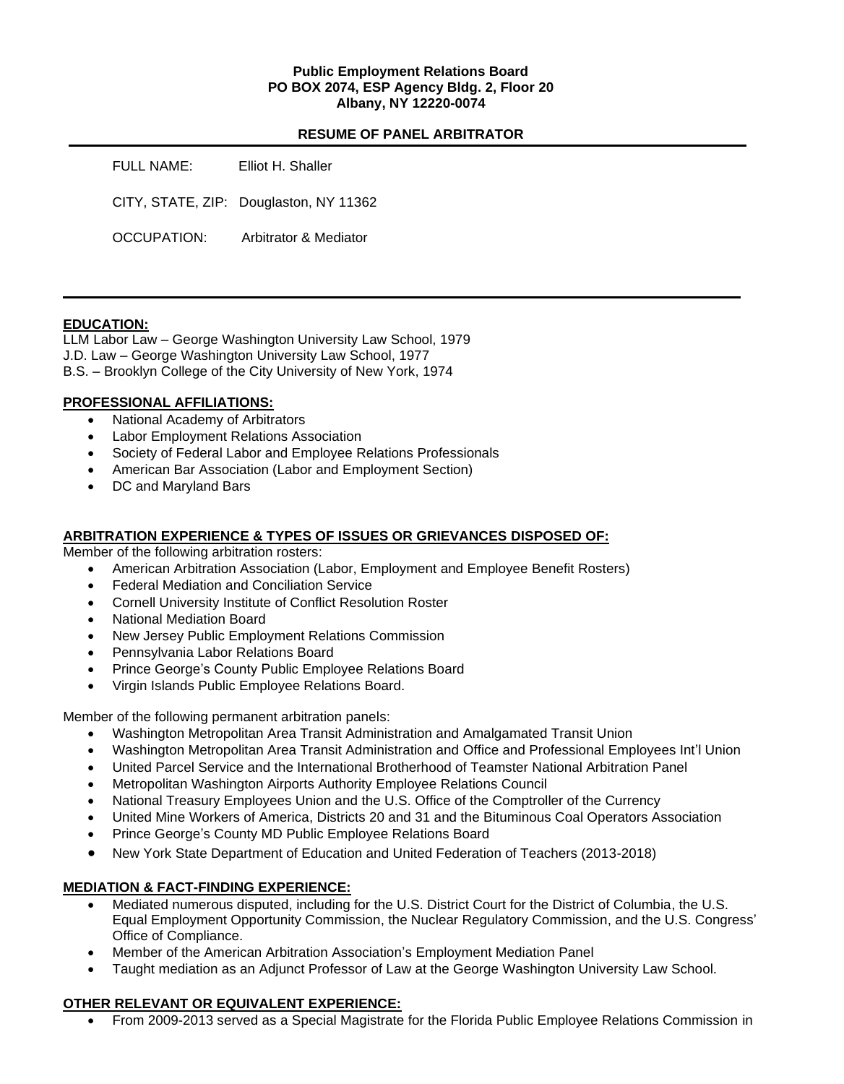### **Public Employment Relations Board PO BOX 2074, ESP Agency Bldg. 2, Floor 20 Albany, NY 12220-0074**

## **RESUME OF PANEL ARBITRATOR**

| FULL NAME:  | Elliot H. Shaller                      |
|-------------|----------------------------------------|
|             | CITY, STATE, ZIP: Douglaston, NY 11362 |
| OCCUPATION: | Arbitrator & Mediator                  |

### **EDUCATION:**

LLM Labor Law – George Washington University Law School, 1979 J.D. Law – George Washington University Law School, 1977 B.S. – Brooklyn College of the City University of New York, 1974

#### **PROFESSIONAL AFFILIATIONS:**

- National Academy of Arbitrators
- Labor Employment Relations Association
- Society of Federal Labor and Employee Relations Professionals
- American Bar Association (Labor and Employment Section)
- DC and Maryland Bars

### **ARBITRATION EXPERIENCE & TYPES OF ISSUES OR GRIEVANCES DISPOSED OF:**

Member of the following arbitration rosters:

- American Arbitration Association (Labor, Employment and Employee Benefit Rosters)
- Federal Mediation and Conciliation Service
- Cornell University Institute of Conflict Resolution Roster
- National Mediation Board
- New Jersey Public Employment Relations Commission
- Pennsylvania Labor Relations Board
- Prince George's County Public Employee Relations Board
- Virgin Islands Public Employee Relations Board.

Member of the following permanent arbitration panels:

- Washington Metropolitan Area Transit Administration and Amalgamated Transit Union
- Washington Metropolitan Area Transit Administration and Office and Professional Employees Int'l Union
- United Parcel Service and the International Brotherhood of Teamster National Arbitration Panel
- Metropolitan Washington Airports Authority Employee Relations Council
- National Treasury Employees Union and the U.S. Office of the Comptroller of the Currency
- United Mine Workers of America, Districts 20 and 31 and the Bituminous Coal Operators Association
- Prince George's County MD Public Employee Relations Board
- New York State Department of Education and United Federation of Teachers (2013-2018)

# **MEDIATION & FACT-FINDING EXPERIENCE:**

- Mediated numerous disputed, including for the U.S. District Court for the District of Columbia, the U.S. Equal Employment Opportunity Commission, the Nuclear Regulatory Commission, and the U.S. Congress' Office of Compliance.
- Member of the American Arbitration Association's Employment Mediation Panel
- Taught mediation as an Adjunct Professor of Law at the George Washington University Law School.

# **OTHER RELEVANT OR EQUIVALENT EXPERIENCE:**

• From 2009-2013 served as a Special Magistrate for the Florida Public Employee Relations Commission in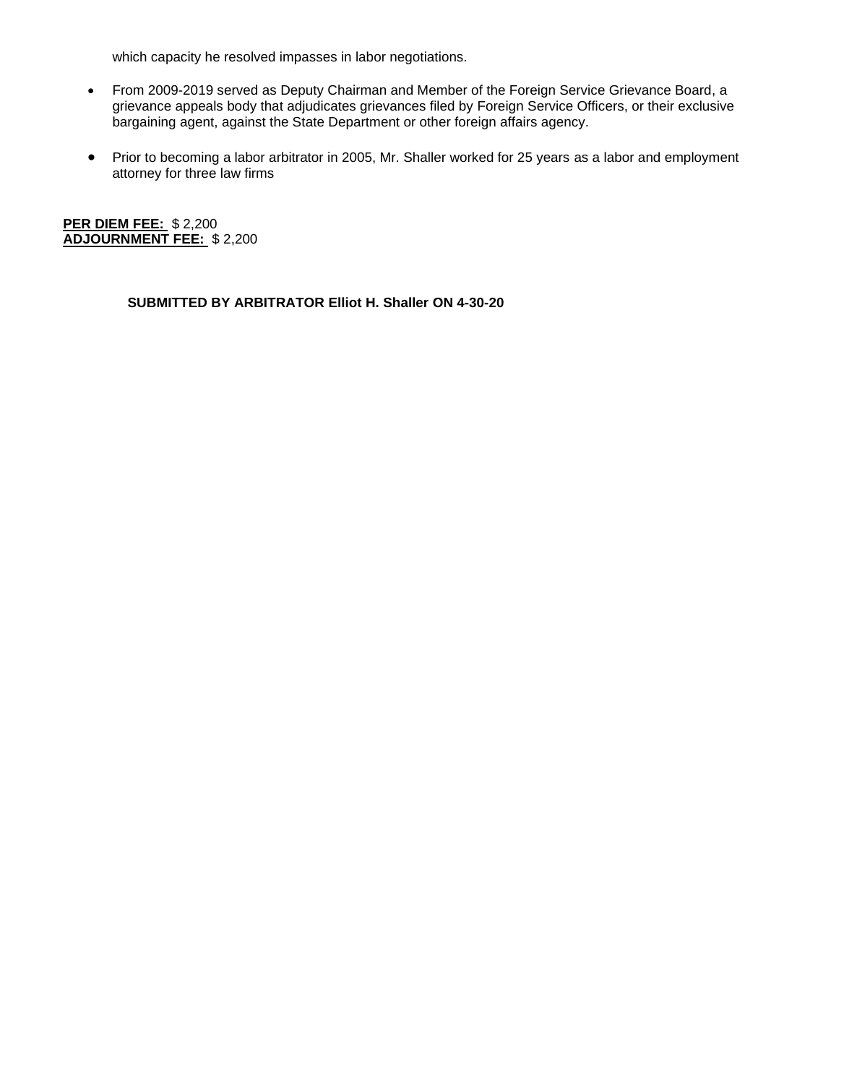which capacity he resolved impasses in labor negotiations.

- From 2009-2019 served as Deputy Chairman and Member of the Foreign Service Grievance Board, a grievance appeals body that adjudicates grievances filed by Foreign Service Officers, or their exclusive bargaining agent, against the State Department or other foreign affairs agency.
- Prior to becoming a labor arbitrator in 2005, Mr. Shaller worked for 25 years as a labor and employment attorney for three law firms

**PER DIEM FEE:** \$ 2,200 **ADJOURNMENT FEE:** \$ 2,200

**SUBMITTED BY ARBITRATOR Elliot H. Shaller ON 4-30-20**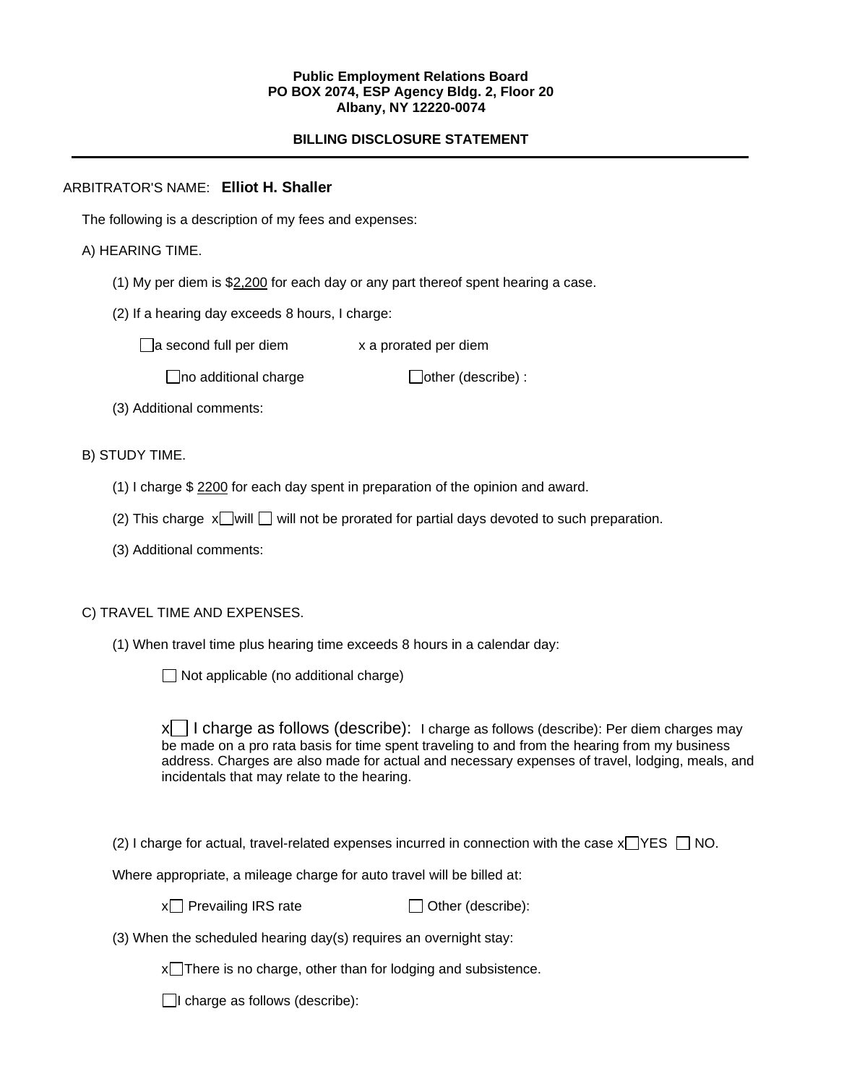#### **Public Employment Relations Board PO BOX 2074, ESP Agency Bldg. 2, Floor 20 Albany, NY 12220-0074**

# **BILLING DISCLOSURE STATEMENT**

## ARBITRATOR'S NAME: **Elliot H. Shaller**

The following is a description of my fees and expenses:

## A) HEARING TIME.

- (1) My per diem is \$2,200 for each day or any part thereof spent hearing a case.
- (2) If a hearing day exceeds 8 hours, I charge:

 $\Box$ a second full per diem  $\Box$  x a prorated per diem

 $\Box$ no additional charge  $\Box$ other (describe) :

(3) Additional comments:

B) STUDY TIME.

- (1) I charge \$ 2200 for each day spent in preparation of the opinion and award.
- (2) This charge  $x$  will  $\Box$  will not be prorated for partial days devoted to such preparation.
- (3) Additional comments:

#### C) TRAVEL TIME AND EXPENSES.

(1) When travel time plus hearing time exceeds 8 hours in a calendar day:

 $\Box$  Not applicable (no additional charge)

 $x \mid 1$  charge as follows (describe): I charge as follows (describe): Per diem charges may be made on a pro rata basis for time spent traveling to and from the hearing from my business address. Charges are also made for actual and necessary expenses of travel, lodging, meals, and incidentals that may relate to the hearing.

(2) I charge for actual, travel-related expenses incurred in connection with the case  $x \rightarrow YES \Box NO$ .

Where appropriate, a mileage charge for auto travel will be billed at:

 $x \cap$  Prevailing IRS rate  $\Box$  Other (describe):

(3) When the scheduled hearing day(s) requires an overnight stay:

 $x$ There is no charge, other than for lodging and subsistence.

 $\Box$ I charge as follows (describe):